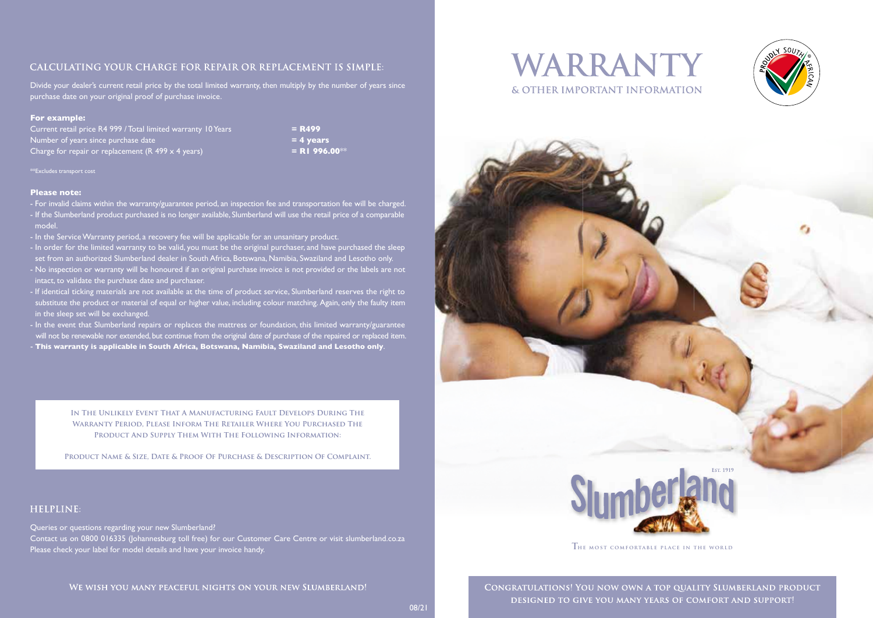# CALCULATING YOUR CHARGE FOR REPAIR OR REPLACEMENT IS SIMPLE:

Divide your dealer's current retail price by the total limited warranty, then multiply by the number of years since purchase date on your original proof of purchase invoice.

#### **For example:**

Current retail price R4 999 / Total limited warranty 10 Years **Example 2018 = R499** Number of years since purchase date **= 4 years** Charge for repair or replacement  $(R 499 \times 4 \text{ years})$  **= R1 996.00**\*\*

\*\*Excludes transport cost

#### **Please note:**

- For invalid claims within the warranty/guarantee period, an inspection fee and transportation fee will be charged. - If the Slumberland product purchased is no longer available, Slumberland will use the retail price of a comparable model.
- In the Service Warranty period, a recovery fee will be applicable for an unsanitary product.
- In order for the limited warranty to be valid, you must be the original purchaser, and have purchased the sleep set from an authorized Slumberland dealer in South Africa, Botswana, Namibia, Swaziland and Lesotho only. - No inspection or warranty will be honoured if an original purchase invoice is not provided or the labels are not intact, to validate the purchase date and purchaser.
- If identical ticking materials are not available at the time of product service, Slumberland reserves the right to substitute the product or material of equal or higher value, including colour matching. Again, only the faulty item in the sleep set will be exchanged.
- In the event that Slumberland repairs or replaces the mattress or foundation, this limited warranty/guarantee will not be renewable nor extended, but continue from the original date of purchase of the repaired or replaced item. - **This warranty is applicable in South Africa, Botswana, Namibia, Swaziland and Lesotho only**.

**In The Unlikely Event That A Manufacturing Fault Develops During The Warranty Period, Please Inform The Retailer Where You Purchased The Product And Supply Them With The Following Information:** 

**Product Name & Size, Date & Proof Of Purchase & Description Of Complaint.**

# HELPLINE:

Queries or questions regarding your new Slumberland? Contact us on 0800 016335 (Johannesburg toll free) for our Customer Care Centre or visit slumberland.co.za Please check your label for model details and have your invoice handy.







 $T$  **HE** MOST COMFORTABLE PLACE IN THE WORLD

CONGRATULATIONS! YOU NOW OWN A TOP QUALITY SLUMBERLAND PRODUCT DESIGNED TO GIVE YOU MANY YEARS OF COMFORT AND SUPPORT!